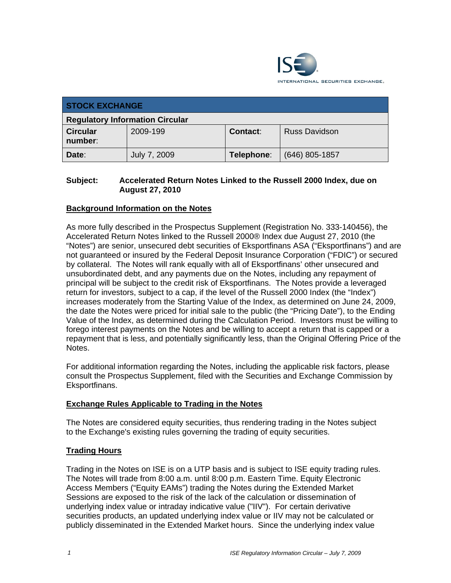

| <b>STOCK EXCHANGE</b>                  |              |            |                      |  |  |
|----------------------------------------|--------------|------------|----------------------|--|--|
| <b>Regulatory Information Circular</b> |              |            |                      |  |  |
| <b>Circular</b><br>number:             | 2009-199     | Contact:   | <b>Russ Davidson</b> |  |  |
| Date:                                  | July 7, 2009 | Telephone: | $(646)$ 805-1857     |  |  |

## **Subject: Accelerated Return Notes Linked to the Russell 2000 Index, due on August 27, 2010**

# **Background Information on the Notes**

As more fully described in the Prospectus Supplement (Registration No. 333-140456), the Accelerated Return Notes linked to the Russell 2000® Index due August 27, 2010 (the "Notes") are senior, unsecured debt securities of Eksportfinans ASA ("Eksportfinans") and are not guaranteed or insured by the Federal Deposit Insurance Corporation ("FDIC") or secured by collateral. The Notes will rank equally with all of Eksportfinans' other unsecured and unsubordinated debt, and any payments due on the Notes, including any repayment of principal will be subject to the credit risk of Eksportfinans. The Notes provide a leveraged return for investors, subject to a cap, if the level of the Russell 2000 Index (the "Index") increases moderately from the Starting Value of the Index, as determined on June 24, 2009, the date the Notes were priced for initial sale to the public (the "Pricing Date"), to the Ending Value of the Index, as determined during the Calculation Period. Investors must be willing to forego interest payments on the Notes and be willing to accept a return that is capped or a repayment that is less, and potentially significantly less, than the Original Offering Price of the Notes.

For additional information regarding the Notes, including the applicable risk factors, please consult the Prospectus Supplement, filed with the Securities and Exchange Commission by Eksportfinans.

#### **Exchange Rules Applicable to Trading in the Notes**

The Notes are considered equity securities, thus rendering trading in the Notes subject to the Exchange's existing rules governing the trading of equity securities.

#### **Trading Hours**

Trading in the Notes on ISE is on a UTP basis and is subject to ISE equity trading rules. The Notes will trade from 8:00 a.m. until 8:00 p.m. Eastern Time. Equity Electronic Access Members ("Equity EAMs") trading the Notes during the Extended Market Sessions are exposed to the risk of the lack of the calculation or dissemination of underlying index value or intraday indicative value ("IIV"). For certain derivative securities products, an updated underlying index value or IIV may not be calculated or publicly disseminated in the Extended Market hours. Since the underlying index value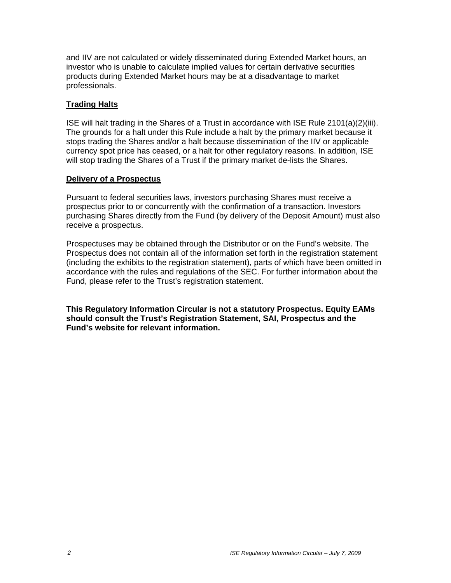and IIV are not calculated or widely disseminated during Extended Market hours, an investor who is unable to calculate implied values for certain derivative securities products during Extended Market hours may be at a disadvantage to market professionals.

## **Trading Halts**

ISE will halt trading in the Shares of a Trust in accordance with ISE Rule 2101(a)(2)(iii). The grounds for a halt under this Rule include a halt by the primary market because it stops trading the Shares and/or a halt because dissemination of the IIV or applicable currency spot price has ceased, or a halt for other regulatory reasons. In addition, ISE will stop trading the Shares of a Trust if the primary market de-lists the Shares.

#### **Delivery of a Prospectus**

Pursuant to federal securities laws, investors purchasing Shares must receive a prospectus prior to or concurrently with the confirmation of a transaction. Investors purchasing Shares directly from the Fund (by delivery of the Deposit Amount) must also receive a prospectus.

Prospectuses may be obtained through the Distributor or on the Fund's website. The Prospectus does not contain all of the information set forth in the registration statement (including the exhibits to the registration statement), parts of which have been omitted in accordance with the rules and regulations of the SEC. For further information about the Fund, please refer to the Trust's registration statement.

**This Regulatory Information Circular is not a statutory Prospectus. Equity EAMs should consult the Trust's Registration Statement, SAI, Prospectus and the Fund's website for relevant information.**